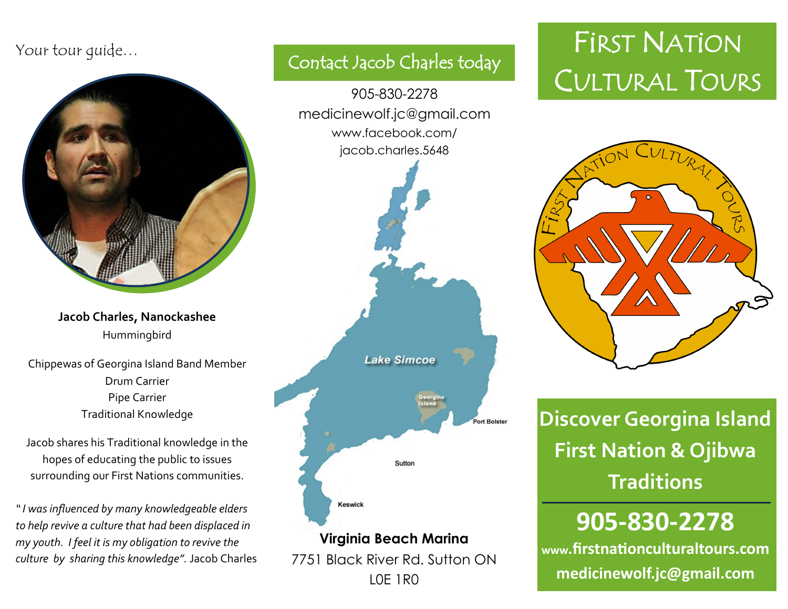

**Jacob Charles, Nanockashee** Hummingbird

Chippewas of Georgina Island Band Member Drum Carrier Pipe Carrier Traditional Knowledge

Jacob shares his Traditional knowledge in the hopes of educating the public to issues surrounding our First Nations communities.

*" I was influenced by many knowledgeable elders to help revive a culture that had been displaced in my youth. I feel it is my obligation to revive the culture by sharing this knowledge".* Jacob Charles

# Contact Jacob Charles today 905-830-2278 medicinewolf.jc@gmail.com www.facebook.com/ jacob.charles.5648 **Lake Simcoe Port Bolster** Sutton Keswick **Virginia Beach Marina** 7751 Black River Rd. Sutton ON

L0E 1R0

## Your tour quide… And the state of the state of the **FIRST NATION** CULTURAL TOURS



**Discover Georgina Island First Nation & Ojibwa Traditions**

## **905-830-2278**

**www.firstnationculturaltours.com medicinewolf.jc@gmail.com**